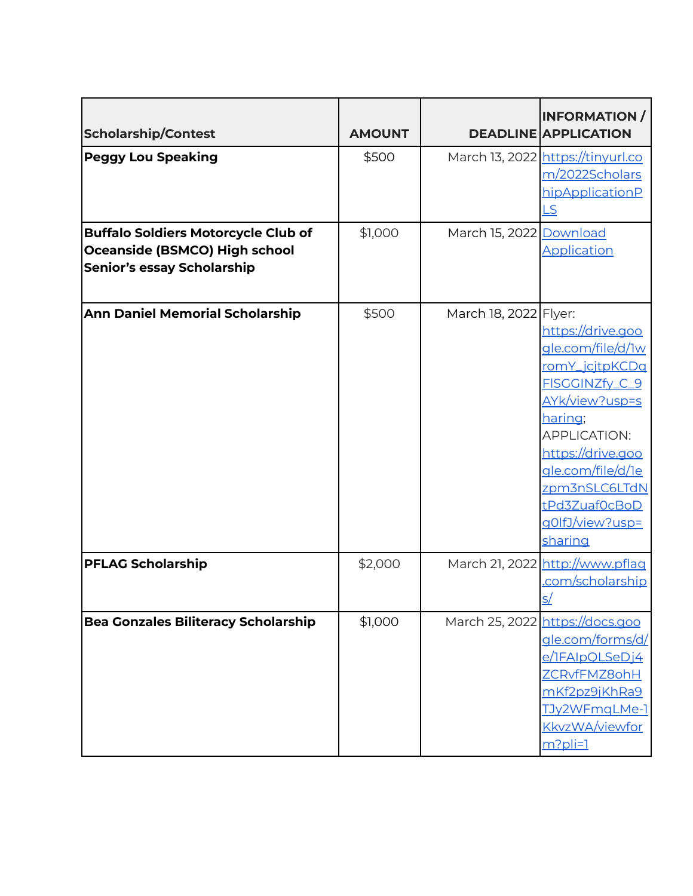| <b>Scholarship/Contest</b>                                                                                       | <b>AMOUNT</b> |                         | <b>INFORMATION /</b><br><b>DEADLINE APPLICATION</b>                                                                                                                                                                                      |
|------------------------------------------------------------------------------------------------------------------|---------------|-------------------------|------------------------------------------------------------------------------------------------------------------------------------------------------------------------------------------------------------------------------------------|
| <b>Peggy Lou Speaking</b>                                                                                        | \$500         |                         | March 13, 2022 https://tinyurl.co<br>m/2022Scholars<br>hipApplicationP<br><u>LS</u>                                                                                                                                                      |
| <b>Buffalo Soldiers Motorcycle Club of</b><br>Oceanside (BSMCO) High school<br><b>Senior's essay Scholarship</b> | \$1,000       | March 15, 2022 Download | Application                                                                                                                                                                                                                              |
| <b>Ann Daniel Memorial Scholarship</b>                                                                           | \$500         | March 18, 2022 Flyer:   | https://drive.goo<br>gle.com/file/d/1w<br>romY_jcjtpKCDq<br>FISGGINZfy_C_9<br>AYk/view?usp=s<br>haring;<br><b>APPLICATION:</b><br>https://drive.goo<br>gle.com/file/d/1e<br>zpm3nSLC6LTdN<br>tPd3Zuaf0cBoD<br>g0lfJ/view?usp=<br>sharing |
| <b>PFLAG Scholarship</b>                                                                                         | \$2,000       |                         | March 21, 2022 http://www.pflag<br><u>.com/scholarship</u>                                                                                                                                                                               |
| <b>Bea Gonzales Biliteracy Scholarship</b>                                                                       | \$1,000       |                         | March 25, 2022 https://docs.goo<br>gle.com/forms/d/<br><u>e/IFAIpQLSeDj4</u><br>ZCRvfFMZ8ohH<br>mKf2pz9jKhRa9<br><u>TJy2WFmqLMe-1</u><br><b>KkvzWA/viewfor</b><br>$m?$ pli=1                                                             |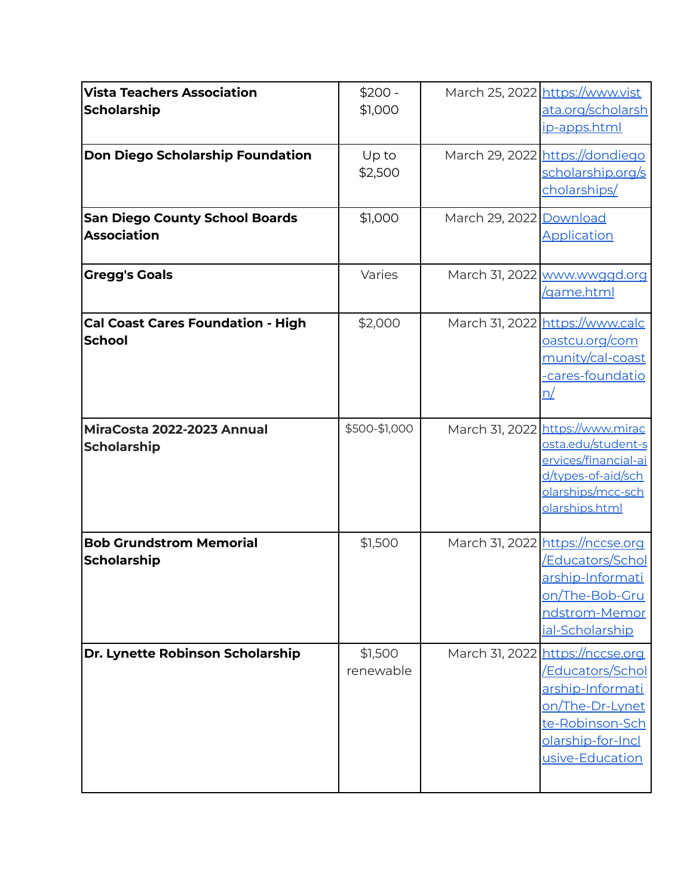| <b>Vista Teachers Association</b><br><b>Scholarship</b><br><b>Don Diego Scholarship Foundation</b><br><b>San Diego County School Boards</b><br><b>Association</b> | $$200 -$<br>\$1,000<br>Up to<br>\$2,500<br>\$1,000 | March 29, 2022 Download | March 25, 2022 https://www.vist<br>ata.org/scholarsh<br>ip-apps.html<br>March 29, 2022 https://dondiego<br>scholarship.org/s<br>cholarships/<br>Application |
|-------------------------------------------------------------------------------------------------------------------------------------------------------------------|----------------------------------------------------|-------------------------|-------------------------------------------------------------------------------------------------------------------------------------------------------------|
| <b>Gregg's Goals</b>                                                                                                                                              | Varies                                             |                         | March 31, 2022 www.wwggd.org<br><u>/game.html</u>                                                                                                           |
| <b>Cal Coast Cares Foundation - High</b><br><b>School</b>                                                                                                         | \$2,000                                            |                         | March 31, 2022 https://www.calc<br><u>oastcu.org/com</u><br>munity/cal-coast<br>cares-foundatio<br><u>n/</u>                                                |
| MiraCosta 2022-2023 Annual<br><b>Scholarship</b>                                                                                                                  | \$500-\$1,000                                      |                         | March 31, 2022 https://www.mirac<br>osta.edu/student-s<br>ervices/financial-ai<br>d/types-of-aid/sch<br>olarships/mcc-sch<br>olarships.html                 |
| <b>Bob Grundstrom Memorial</b><br><b>Scholarship</b>                                                                                                              | \$1,500                                            |                         | March 31, 2022 https://nccse.org<br><u>/Educators/Schol</u><br>arship-Informati<br>on/The-Bob-Gru<br>ndstrom-Memor<br>ial-Scholarship                       |
| Dr. Lynette Robinson Scholarship                                                                                                                                  | \$1,500<br>renewable                               |                         | March 31, 2022 https://nccse.org<br>/Educators/Schol<br>arship-Informati<br>on/The-Dr-Lynet<br>te-Robinson-Sch<br>olarship-for-Incl<br>usive-Education      |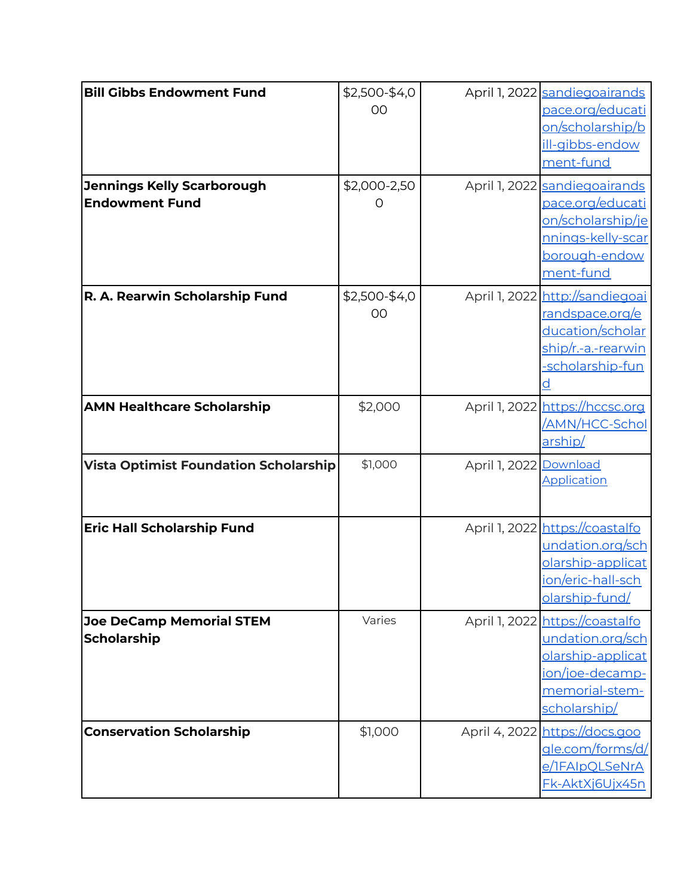| pace.org/educati<br>OO<br>on/scholarship/b<br>ill-gibbs-endow<br>ment-fund<br>\$2,000-2,50<br><b>Jennings Kelly Scarborough</b><br>April 1, 2022 sandiegoairands<br><b>Endowment Fund</b><br>pace.org/educati<br>Ő<br><u>on/scholarship/je</u><br>nnings-kelly-scar<br>borough-endow<br>ment-fund<br>\$2,500-\$4,0<br>April 1, 2022 http://sandiegoai<br>R. A. Rearwin Scholarship Fund<br><u>randspace.org/e</u><br>OO<br>ducation/scholar<br><u>ship/r.-a.-rearwin</u><br>-scholarship-fun<br>April 1, 2022 https://hccsc.org<br><b>AMN Healthcare Scholarship</b><br>\$2,000<br><u>/AMN/HCC-Schol</u><br>arship/<br>\$1,000<br><b>Vista Optimist Foundation Scholarship</b><br>April 1, 2022 Download<br>Application<br>April 1, 2022 https://coastalfo<br><b>Eric Hall Scholarship Fund</b><br>undation.org/sch<br>olarship-applicat<br><u>ion/eric-hall-sch</u><br>olarship-fund/<br>Varies<br>April 1, 2022 https://coastalfo<br><b>Joe DeCamp Memorial STEM</b><br><b>Scholarship</b><br>undation.org/sch<br>olarship-applicat<br>ion/joe-decamp-<br>memorial-stem-<br>scholarship/<br>April 4, 2022 https://docs.goo<br><b>Conservation Scholarship</b><br>\$1,000<br><u>gle.com/forms/d/</u><br>e/IFAIpQLSeNrA<br>Fk-AktXj6Ujx45n | <b>Bill Gibbs Endowment Fund</b> | \$2,500-\$4,0 | April 1, 2022 sandiegoairands |
|--------------------------------------------------------------------------------------------------------------------------------------------------------------------------------------------------------------------------------------------------------------------------------------------------------------------------------------------------------------------------------------------------------------------------------------------------------------------------------------------------------------------------------------------------------------------------------------------------------------------------------------------------------------------------------------------------------------------------------------------------------------------------------------------------------------------------------------------------------------------------------------------------------------------------------------------------------------------------------------------------------------------------------------------------------------------------------------------------------------------------------------------------------------------------------------------------------------------------------------------|----------------------------------|---------------|-------------------------------|
|                                                                                                                                                                                                                                                                                                                                                                                                                                                                                                                                                                                                                                                                                                                                                                                                                                                                                                                                                                                                                                                                                                                                                                                                                                            |                                  |               |                               |
|                                                                                                                                                                                                                                                                                                                                                                                                                                                                                                                                                                                                                                                                                                                                                                                                                                                                                                                                                                                                                                                                                                                                                                                                                                            |                                  |               |                               |
|                                                                                                                                                                                                                                                                                                                                                                                                                                                                                                                                                                                                                                                                                                                                                                                                                                                                                                                                                                                                                                                                                                                                                                                                                                            |                                  |               |                               |
|                                                                                                                                                                                                                                                                                                                                                                                                                                                                                                                                                                                                                                                                                                                                                                                                                                                                                                                                                                                                                                                                                                                                                                                                                                            |                                  |               |                               |
|                                                                                                                                                                                                                                                                                                                                                                                                                                                                                                                                                                                                                                                                                                                                                                                                                                                                                                                                                                                                                                                                                                                                                                                                                                            |                                  |               |                               |
|                                                                                                                                                                                                                                                                                                                                                                                                                                                                                                                                                                                                                                                                                                                                                                                                                                                                                                                                                                                                                                                                                                                                                                                                                                            |                                  |               |                               |
|                                                                                                                                                                                                                                                                                                                                                                                                                                                                                                                                                                                                                                                                                                                                                                                                                                                                                                                                                                                                                                                                                                                                                                                                                                            |                                  |               |                               |
|                                                                                                                                                                                                                                                                                                                                                                                                                                                                                                                                                                                                                                                                                                                                                                                                                                                                                                                                                                                                                                                                                                                                                                                                                                            |                                  |               |                               |
|                                                                                                                                                                                                                                                                                                                                                                                                                                                                                                                                                                                                                                                                                                                                                                                                                                                                                                                                                                                                                                                                                                                                                                                                                                            |                                  |               |                               |
|                                                                                                                                                                                                                                                                                                                                                                                                                                                                                                                                                                                                                                                                                                                                                                                                                                                                                                                                                                                                                                                                                                                                                                                                                                            |                                  |               |                               |
|                                                                                                                                                                                                                                                                                                                                                                                                                                                                                                                                                                                                                                                                                                                                                                                                                                                                                                                                                                                                                                                                                                                                                                                                                                            |                                  |               |                               |
|                                                                                                                                                                                                                                                                                                                                                                                                                                                                                                                                                                                                                                                                                                                                                                                                                                                                                                                                                                                                                                                                                                                                                                                                                                            |                                  |               |                               |
|                                                                                                                                                                                                                                                                                                                                                                                                                                                                                                                                                                                                                                                                                                                                                                                                                                                                                                                                                                                                                                                                                                                                                                                                                                            |                                  |               |                               |
|                                                                                                                                                                                                                                                                                                                                                                                                                                                                                                                                                                                                                                                                                                                                                                                                                                                                                                                                                                                                                                                                                                                                                                                                                                            |                                  |               |                               |
|                                                                                                                                                                                                                                                                                                                                                                                                                                                                                                                                                                                                                                                                                                                                                                                                                                                                                                                                                                                                                                                                                                                                                                                                                                            |                                  |               |                               |
|                                                                                                                                                                                                                                                                                                                                                                                                                                                                                                                                                                                                                                                                                                                                                                                                                                                                                                                                                                                                                                                                                                                                                                                                                                            |                                  |               |                               |
|                                                                                                                                                                                                                                                                                                                                                                                                                                                                                                                                                                                                                                                                                                                                                                                                                                                                                                                                                                                                                                                                                                                                                                                                                                            |                                  |               |                               |
|                                                                                                                                                                                                                                                                                                                                                                                                                                                                                                                                                                                                                                                                                                                                                                                                                                                                                                                                                                                                                                                                                                                                                                                                                                            |                                  |               |                               |
|                                                                                                                                                                                                                                                                                                                                                                                                                                                                                                                                                                                                                                                                                                                                                                                                                                                                                                                                                                                                                                                                                                                                                                                                                                            |                                  |               |                               |
|                                                                                                                                                                                                                                                                                                                                                                                                                                                                                                                                                                                                                                                                                                                                                                                                                                                                                                                                                                                                                                                                                                                                                                                                                                            |                                  |               |                               |
|                                                                                                                                                                                                                                                                                                                                                                                                                                                                                                                                                                                                                                                                                                                                                                                                                                                                                                                                                                                                                                                                                                                                                                                                                                            |                                  |               |                               |
|                                                                                                                                                                                                                                                                                                                                                                                                                                                                                                                                                                                                                                                                                                                                                                                                                                                                                                                                                                                                                                                                                                                                                                                                                                            |                                  |               |                               |
|                                                                                                                                                                                                                                                                                                                                                                                                                                                                                                                                                                                                                                                                                                                                                                                                                                                                                                                                                                                                                                                                                                                                                                                                                                            |                                  |               |                               |
|                                                                                                                                                                                                                                                                                                                                                                                                                                                                                                                                                                                                                                                                                                                                                                                                                                                                                                                                                                                                                                                                                                                                                                                                                                            |                                  |               |                               |
|                                                                                                                                                                                                                                                                                                                                                                                                                                                                                                                                                                                                                                                                                                                                                                                                                                                                                                                                                                                                                                                                                                                                                                                                                                            |                                  |               |                               |
|                                                                                                                                                                                                                                                                                                                                                                                                                                                                                                                                                                                                                                                                                                                                                                                                                                                                                                                                                                                                                                                                                                                                                                                                                                            |                                  |               |                               |
|                                                                                                                                                                                                                                                                                                                                                                                                                                                                                                                                                                                                                                                                                                                                                                                                                                                                                                                                                                                                                                                                                                                                                                                                                                            |                                  |               |                               |
|                                                                                                                                                                                                                                                                                                                                                                                                                                                                                                                                                                                                                                                                                                                                                                                                                                                                                                                                                                                                                                                                                                                                                                                                                                            |                                  |               |                               |
|                                                                                                                                                                                                                                                                                                                                                                                                                                                                                                                                                                                                                                                                                                                                                                                                                                                                                                                                                                                                                                                                                                                                                                                                                                            |                                  |               |                               |
|                                                                                                                                                                                                                                                                                                                                                                                                                                                                                                                                                                                                                                                                                                                                                                                                                                                                                                                                                                                                                                                                                                                                                                                                                                            |                                  |               |                               |
|                                                                                                                                                                                                                                                                                                                                                                                                                                                                                                                                                                                                                                                                                                                                                                                                                                                                                                                                                                                                                                                                                                                                                                                                                                            |                                  |               |                               |
|                                                                                                                                                                                                                                                                                                                                                                                                                                                                                                                                                                                                                                                                                                                                                                                                                                                                                                                                                                                                                                                                                                                                                                                                                                            |                                  |               |                               |
|                                                                                                                                                                                                                                                                                                                                                                                                                                                                                                                                                                                                                                                                                                                                                                                                                                                                                                                                                                                                                                                                                                                                                                                                                                            |                                  |               |                               |
|                                                                                                                                                                                                                                                                                                                                                                                                                                                                                                                                                                                                                                                                                                                                                                                                                                                                                                                                                                                                                                                                                                                                                                                                                                            |                                  |               |                               |
|                                                                                                                                                                                                                                                                                                                                                                                                                                                                                                                                                                                                                                                                                                                                                                                                                                                                                                                                                                                                                                                                                                                                                                                                                                            |                                  |               |                               |
|                                                                                                                                                                                                                                                                                                                                                                                                                                                                                                                                                                                                                                                                                                                                                                                                                                                                                                                                                                                                                                                                                                                                                                                                                                            |                                  |               |                               |
|                                                                                                                                                                                                                                                                                                                                                                                                                                                                                                                                                                                                                                                                                                                                                                                                                                                                                                                                                                                                                                                                                                                                                                                                                                            |                                  |               |                               |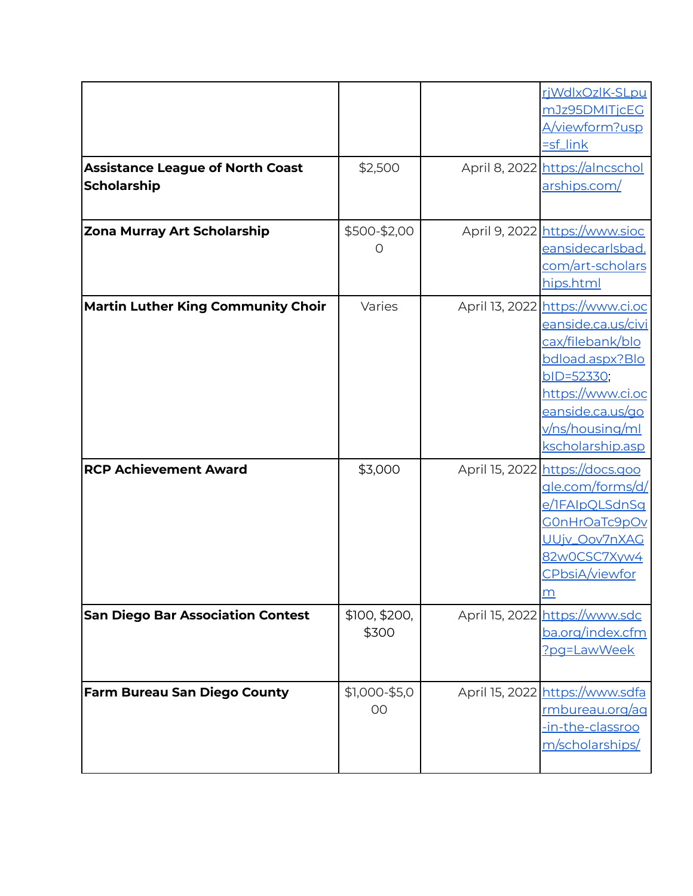|                                                               |                                    | riWdlxOzlK-SLpu<br>mJz95DMITjcEG<br>A/viewform?usp<br>$=$ sf_link                                                                                                                                  |
|---------------------------------------------------------------|------------------------------------|----------------------------------------------------------------------------------------------------------------------------------------------------------------------------------------------------|
| <b>Assistance League of North Coast</b><br><b>Scholarship</b> | \$2,500                            | April 8, 2022 https://alncschol<br>arships.com/                                                                                                                                                    |
| <b>Zona Murray Art Scholarship</b>                            | \$500-\$2,00<br>$\left( \ \right)$ | April 9, 2022 https://www.sioc<br>eansidecarlsbad.<br><u>com/art-scholars</u><br>hips.html                                                                                                         |
| <b>Martin Luther King Community Choir</b>                     | Varies                             | April 13, 2022 https://www.ci.oc<br>eanside.ca.us/civi<br>cax/filebank/blo<br>bdload.aspx?Blo<br>bID=52330;<br>https://www.ci.oc<br>eanside.ca.us/go<br><u>v/ns/housing/ml</u><br>kscholarship.asp |
| <b>RCP Achievement Award</b>                                  | \$3,000                            | April 15, 2022 https://docs.goo<br>gle.com/forms/d/<br>e/IFAIpQLSdnSg<br>COnHrOaTc9pOv<br>UUjv_Oov7nXAG<br>82w0CSC7Xyw4<br>CPbsiA/viewfor<br>m                                                     |
| <b>San Diego Bar Association Contest</b>                      | \$100, \$200,<br>\$300             | April 15, 2022 https://www.sdc<br>ba.org/index.cfm<br>?pg=LawWeek                                                                                                                                  |
| <b>Farm Bureau San Diego County</b>                           | \$1,000-\$5,0<br>00                | April 15, 2022 https://www.sdfa<br>rmbureau.org/ag<br>-in-the-classroo<br>m/scholarships/                                                                                                          |